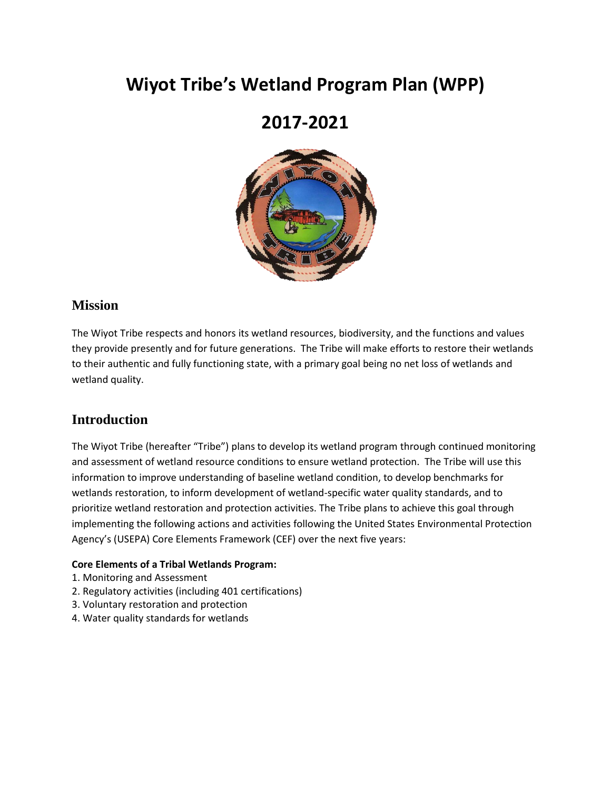# **Wiyot Tribe's Wetland Program Plan (WPP)**

## **2017-2021**



### **Mission**

The Wiyot Tribe respects and honors its wetland resources, biodiversity, and the functions and values they provide presently and for future generations. The Tribe will make efforts to restore their wetlands to their authentic and fully functioning state, with a primary goal being no net loss of wetlands and wetland quality.

## **Introduction**

The Wiyot Tribe (hereafter "Tribe") plans to develop its wetland program through continued monitoring and assessment of wetland resource conditions to ensure wetland protection. The Tribe will use this information to improve understanding of baseline wetland condition, to develop benchmarks for wetlands restoration, to inform development of wetland-specific water quality standards, and to prioritize wetland restoration and protection activities. The Tribe plans to achieve this goal through implementing the following actions and activities following the United States Environmental Protection Agency's (USEPA) Core Elements Framework (CEF) over the next five years:

#### **Core Elements of a Tribal Wetlands Program:**

- 1. Monitoring and Assessment
- 2. Regulatory activities (including 401 certifications)
- 3. Voluntary restoration and protection
- 4. Water quality standards for wetlands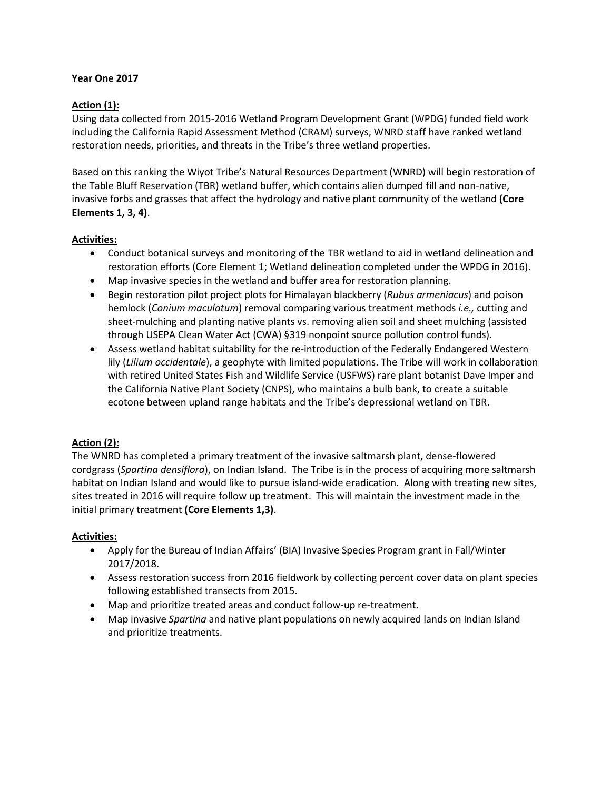#### **Year One 2017**

#### **Action (1):**

Using data collected from 2015-2016 Wetland Program Development Grant (WPDG) funded field work including the California Rapid Assessment Method (CRAM) surveys, WNRD staff have ranked wetland restoration needs, priorities, and threats in the Tribe's three wetland properties.

Based on this ranking the Wiyot Tribe's Natural Resources Department (WNRD) will begin restoration of the Table Bluff Reservation (TBR) wetland buffer, which contains alien dumped fill and non-native, invasive forbs and grasses that affect the hydrology and native plant community of the wetland **(Core Elements 1, 3, 4)**.

#### **Activities:**

- Conduct botanical surveys and monitoring of the TBR wetland to aid in wetland delineation and restoration efforts (Core Element 1; Wetland delineation completed under the WPDG in 2016).
- Map invasive species in the wetland and buffer area for restoration planning.
- Begin restoration pilot project plots for Himalayan blackberry (*Rubus armeniacus*) and poison hemlock (*Conium maculatum*) removal comparing various treatment methods *i.e.,* cutting and sheet-mulching and planting native plants vs. removing alien soil and sheet mulching (assisted through USEPA Clean Water Act (CWA) §319 nonpoint source pollution control funds).
- Assess wetland habitat suitability for the re-introduction of the Federally Endangered Western lily (*Lilium occidentale*), a geophyte with limited populations. The Tribe will work in collaboration with retired United States Fish and Wildlife Service (USFWS) rare plant botanist Dave Imper and the California Native Plant Society (CNPS), who maintains a bulb bank, to create a suitable ecotone between upland range habitats and the Tribe's depressional wetland on TBR.

#### **Action (2):**

The WNRD has completed a primary treatment of the invasive saltmarsh plant, dense-flowered cordgrass (*Spartina densiflora*), on Indian Island. The Tribe is in the process of acquiring more saltmarsh habitat on Indian Island and would like to pursue island-wide eradication. Along with treating new sites, sites treated in 2016 will require follow up treatment. This will maintain the investment made in the initial primary treatment **(Core Elements 1,3)**.

#### **Activities:**

- Apply for the Bureau of Indian Affairs' (BIA) Invasive Species Program grant in Fall/Winter 2017/2018.
- Assess restoration success from 2016 fieldwork by collecting percent cover data on plant species following established transects from 2015.
- Map and prioritize treated areas and conduct follow-up re-treatment.
- Map invasive *Spartina* and native plant populations on newly acquired lands on Indian Island and prioritize treatments.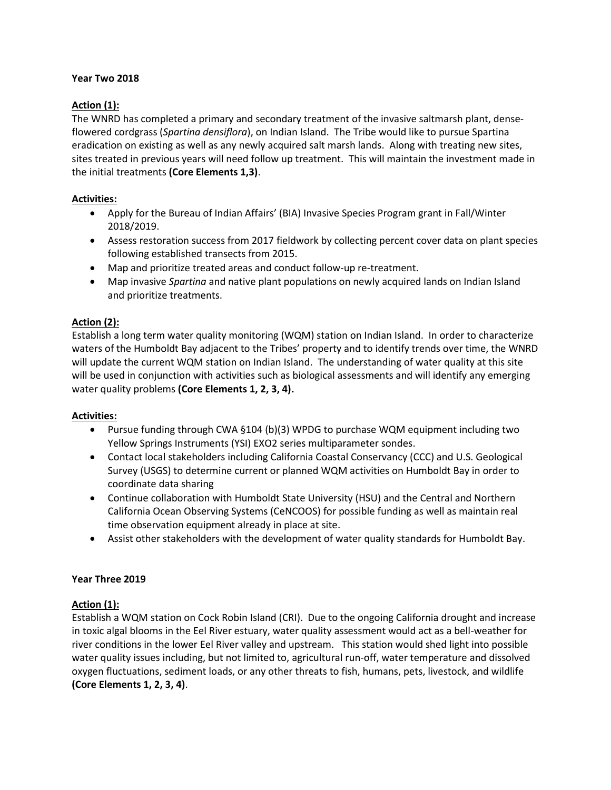#### **Year Two 2018**

#### **Action (1):**

The WNRD has completed a primary and secondary treatment of the invasive saltmarsh plant, denseflowered cordgrass (*Spartina densiflora*), on Indian Island. The Tribe would like to pursue Spartina eradication on existing as well as any newly acquired salt marsh lands. Along with treating new sites, sites treated in previous years will need follow up treatment. This will maintain the investment made in the initial treatments **(Core Elements 1,3)**.

#### **Activities:**

- Apply for the Bureau of Indian Affairs' (BIA) Invasive Species Program grant in Fall/Winter 2018/2019.
- Assess restoration success from 2017 fieldwork by collecting percent cover data on plant species following established transects from 2015.
- Map and prioritize treated areas and conduct follow-up re-treatment.
- Map invasive *Spartina* and native plant populations on newly acquired lands on Indian Island and prioritize treatments.

#### **Action (2):**

Establish a long term water quality monitoring (WQM) station on Indian Island. In order to characterize waters of the Humboldt Bay adjacent to the Tribes' property and to identify trends over time, the WNRD will update the current WQM station on Indian Island. The understanding of water quality at this site will be used in conjunction with activities such as biological assessments and will identify any emerging water quality problems **(Core Elements 1, 2, 3, 4).**

#### **Activities:**

- Pursue funding through CWA §104 (b)(3) WPDG to purchase WQM equipment including two Yellow Springs Instruments (YSI) EXO2 series multiparameter sondes.
- Contact local stakeholders including California Coastal Conservancy (CCC) and U.S. Geological Survey (USGS) to determine current or planned WQM activities on Humboldt Bay in order to coordinate data sharing
- Continue collaboration with Humboldt State University (HSU) and the Central and Northern California Ocean Observing Systems (CeNCOOS) for possible funding as well as maintain real time observation equipment already in place at site.
- Assist other stakeholders with the development of water quality standards for Humboldt Bay.

#### **Year Three 2019**

#### **Action (1):**

Establish a WQM station on Cock Robin Island (CRI). Due to the ongoing California drought and increase in toxic algal blooms in the Eel River estuary, water quality assessment would act as a bell-weather for river conditions in the lower Eel River valley and upstream. This station would shed light into possible water quality issues including, but not limited to, agricultural run-off, water temperature and dissolved oxygen fluctuations, sediment loads, or any other threats to fish, humans, pets, livestock, and wildlife **(Core Elements 1, 2, 3, 4)**.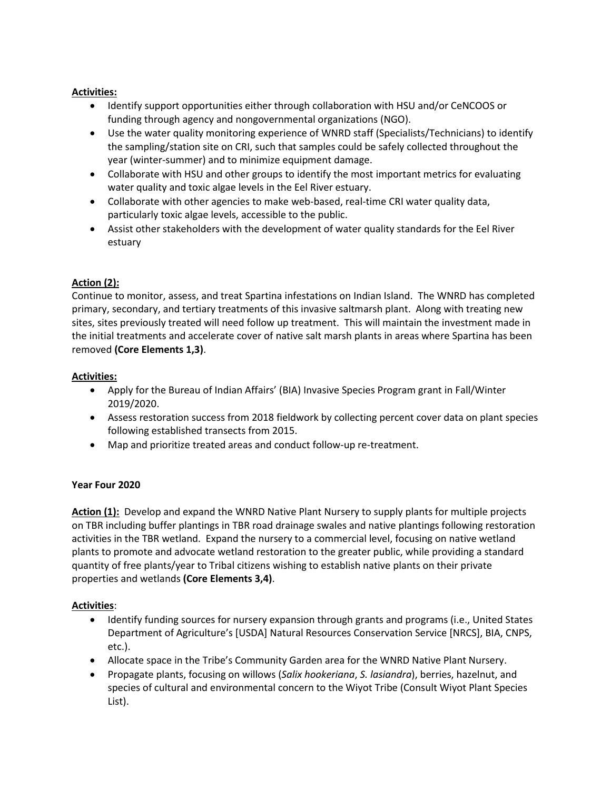#### **Activities:**

- Identify support opportunities either through collaboration with HSU and/or CeNCOOS or funding through agency and nongovernmental organizations (NGO).
- Use the water quality monitoring experience of WNRD staff (Specialists/Technicians) to identify the sampling/station site on CRI, such that samples could be safely collected throughout the year (winter-summer) and to minimize equipment damage.
- Collaborate with HSU and other groups to identify the most important metrics for evaluating water quality and toxic algae levels in the Eel River estuary.
- Collaborate with other agencies to make web-based, real-time CRI water quality data, particularly toxic algae levels, accessible to the public.
- Assist other stakeholders with the development of water quality standards for the Eel River estuary

#### **Action (2):**

Continue to monitor, assess, and treat Spartina infestations on Indian Island. The WNRD has completed primary, secondary, and tertiary treatments of this invasive saltmarsh plant. Along with treating new sites, sites previously treated will need follow up treatment. This will maintain the investment made in the initial treatments and accelerate cover of native salt marsh plants in areas where Spartina has been removed **(Core Elements 1,3)**.

#### **Activities:**

- Apply for the Bureau of Indian Affairs' (BIA) Invasive Species Program grant in Fall/Winter 2019/2020.
- Assess restoration success from 2018 fieldwork by collecting percent cover data on plant species following established transects from 2015.
- Map and prioritize treated areas and conduct follow-up re-treatment.

#### **Year Four 2020**

**Action (1):** Develop and expand the WNRD Native Plant Nursery to supply plants for multiple projects on TBR including buffer plantings in TBR road drainage swales and native plantings following restoration activities in the TBR wetland. Expand the nursery to a commercial level, focusing on native wetland plants to promote and advocate wetland restoration to the greater public, while providing a standard quantity of free plants/year to Tribal citizens wishing to establish native plants on their private properties and wetlands **(Core Elements 3,4)**.

#### **Activities**:

- Identify funding sources for nursery expansion through grants and programs (i.e., United States Department of Agriculture's [USDA] Natural Resources Conservation Service [NRCS], BIA, CNPS, etc.).
- Allocate space in the Tribe's Community Garden area for the WNRD Native Plant Nursery.
- Propagate plants, focusing on willows (*Salix hookeriana*, *S. lasiandra*), berries, hazelnut, and species of cultural and environmental concern to the Wiyot Tribe (Consult Wiyot Plant Species List).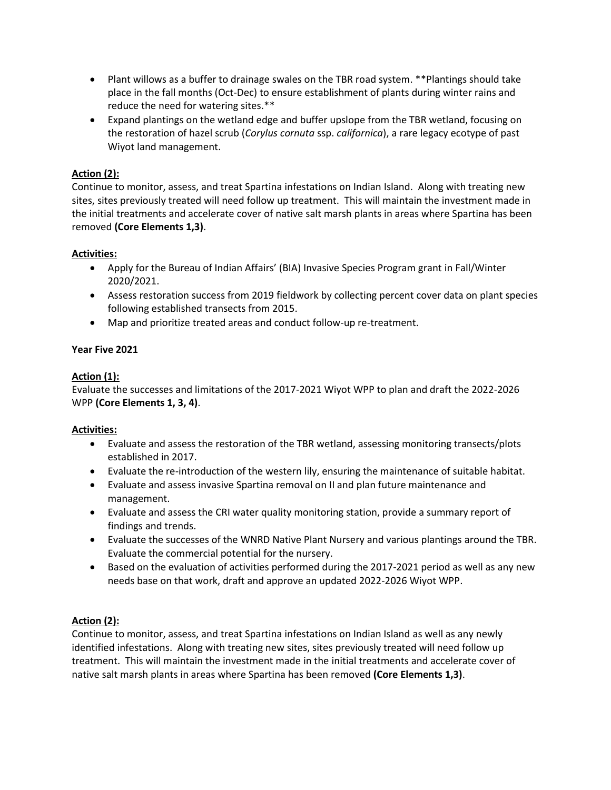- Plant willows as a buffer to drainage swales on the TBR road system. \*\*Plantings should take place in the fall months (Oct-Dec) to ensure establishment of plants during winter rains and reduce the need for watering sites.\*\*
- Expand plantings on the wetland edge and buffer upslope from the TBR wetland, focusing on the restoration of hazel scrub (*Corylus cornuta* ssp. *californica*), a rare legacy ecotype of past Wiyot land management.

#### **Action (2):**

Continue to monitor, assess, and treat Spartina infestations on Indian Island. Along with treating new sites, sites previously treated will need follow up treatment. This will maintain the investment made in the initial treatments and accelerate cover of native salt marsh plants in areas where Spartina has been removed **(Core Elements 1,3)**.

#### **Activities:**

- Apply for the Bureau of Indian Affairs' (BIA) Invasive Species Program grant in Fall/Winter 2020/2021.
- Assess restoration success from 2019 fieldwork by collecting percent cover data on plant species following established transects from 2015.
- Map and prioritize treated areas and conduct follow-up re-treatment.

#### **Year Five 2021**

#### **Action (1):**

Evaluate the successes and limitations of the 2017-2021 Wiyot WPP to plan and draft the 2022-2026 WPP **(Core Elements 1, 3, 4)**.

#### **Activities:**

- Evaluate and assess the restoration of the TBR wetland, assessing monitoring transects/plots established in 2017.
- Evaluate the re-introduction of the western lily, ensuring the maintenance of suitable habitat.
- Evaluate and assess invasive Spartina removal on II and plan future maintenance and management.
- Evaluate and assess the CRI water quality monitoring station, provide a summary report of findings and trends.
- Evaluate the successes of the WNRD Native Plant Nursery and various plantings around the TBR. Evaluate the commercial potential for the nursery.
- Based on the evaluation of activities performed during the 2017-2021 period as well as any new needs base on that work, draft and approve an updated 2022-2026 Wiyot WPP.

#### **Action (2):**

Continue to monitor, assess, and treat Spartina infestations on Indian Island as well as any newly identified infestations. Along with treating new sites, sites previously treated will need follow up treatment. This will maintain the investment made in the initial treatments and accelerate cover of native salt marsh plants in areas where Spartina has been removed **(Core Elements 1,3)**.